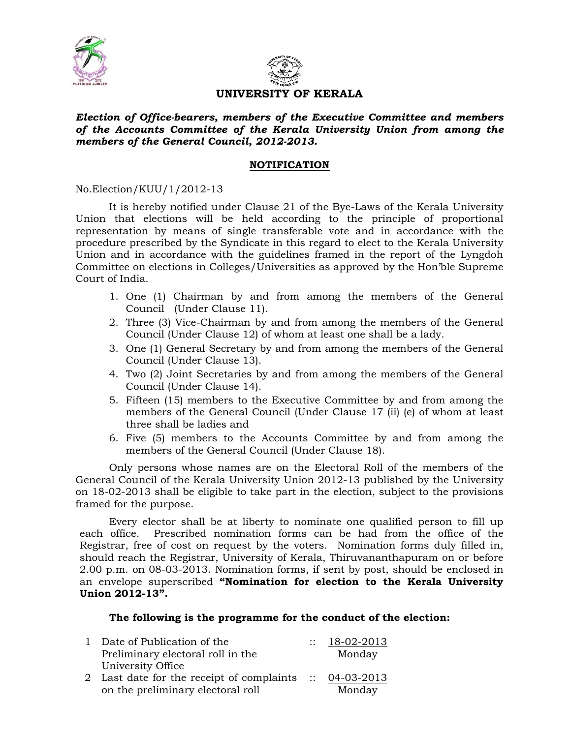



# **UNIVERSITY OF KERALA**

## *Election of Office-bearers, members of the Executive Committee and members of the Accounts Committee of the Kerala University Union from among the members of the General Council, 2012-2013.*

## **NOTIFICATION**

No.Election/KUU/1/2012-13

 It is hereby notified under Clause 21 of the Bye-Laws of the Kerala University Union that elections will be held according to the principle of proportional representation by means of single transferable vote and in accordance with the procedure prescribed by the Syndicate in this regard to elect to the Kerala University Union and in accordance with the guidelines framed in the report of the Lyngdoh Committee on elections in Colleges/Universities as approved by the Hon'ble Supreme Court of India.

- 1. One (1) Chairman by and from among the members of the General Council (Under Clause 11).
- 2. Three (3) Vice-Chairman by and from among the members of the General Council (Under Clause 12) of whom at least one shall be a lady.
- 3. One (1) General Secretary by and from among the members of the General Council (Under Clause 13).
- 4. Two (2) Joint Secretaries by and from among the members of the General Council (Under Clause 14).
- 5. Fifteen (15) members to the Executive Committee by and from among the members of the General Council (Under Clause 17 (ii) (e) of whom at least three shall be ladies and
- 6. Five (5) members to the Accounts Committee by and from among the members of the General Council (Under Clause 18).

Only persons whose names are on the Electoral Roll of the members of the General Council of the Kerala University Union 2012-13 published by the University on 18-02-2013 shall be eligible to take part in the election, subject to the provisions framed for the purpose.

 Every elector shall be at liberty to nominate one qualified person to fill up each office. Prescribed nomination forms can be had from the office of the Registrar, free of cost on request by the voters. Nomination forms duly filled in, should reach the Registrar, University of Kerala, Thiruvananthapuram on or before 2.00 p.m. on 08-03-2013. Nomination forms, if sent by post, should be enclosed in an envelope superscribed **"Nomination for election to the Kerala University Union 2012-13".** 

### **The following is the programme for the conduct of the election:**

| 1 Date of Publication of the                            | $\therefore$ 18-02-2013 |
|---------------------------------------------------------|-------------------------|
| Preliminary electoral roll in the                       | Monday                  |
| University Office                                       |                         |
| 2 Last date for the receipt of complaints :: 04-03-2013 |                         |
| on the preliminary electoral roll                       | Monday                  |